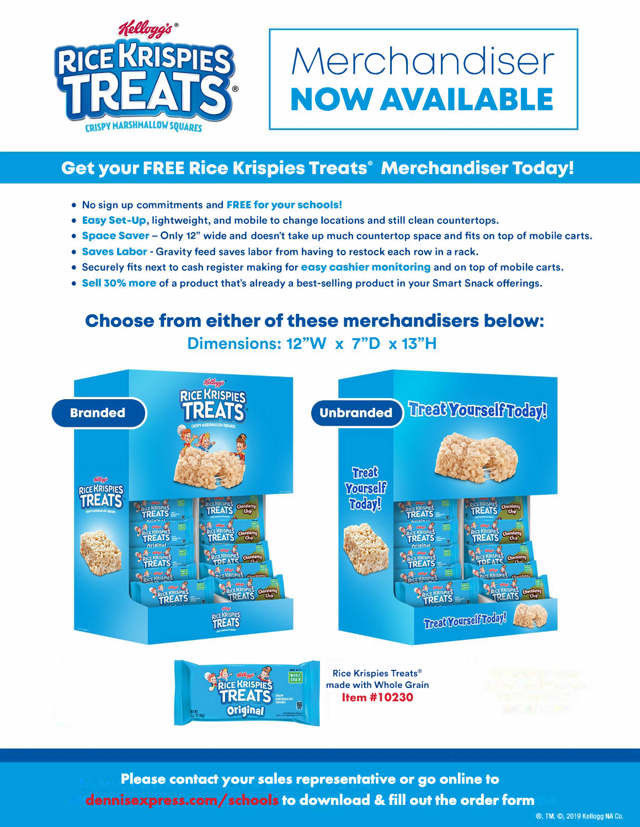

## **Merchandiser NOW AVAILABLE**

## **Get your FREE Rice Krispies Treats® Merchandiser Today!**

- **• No sign up commitments and FREE for your schools!**
- **• Easy Set-Up, lightweight, and mobile to change locations and still clean countertops.**
- **• Space Saver - Only 12" wide and doesn't take up much countertop space and fits on top of mobile carts.**
- **• Saves Labor - Gravity feed saves labor from having to restock each row in a rack.**
- **• Securely fits next to cash register making for easy cashier monitoring and on top of mobile carts.**
- **• Sell 30% more of a product that's already a best-selling product in your Smart Snack offerings.**

## **Choose from either of these merchandisers below: Dimensions: 12"W x 7"D x 13"H**



Please contact your sales representative or go online to dennisexpress.com/schools to download & fill out the order form